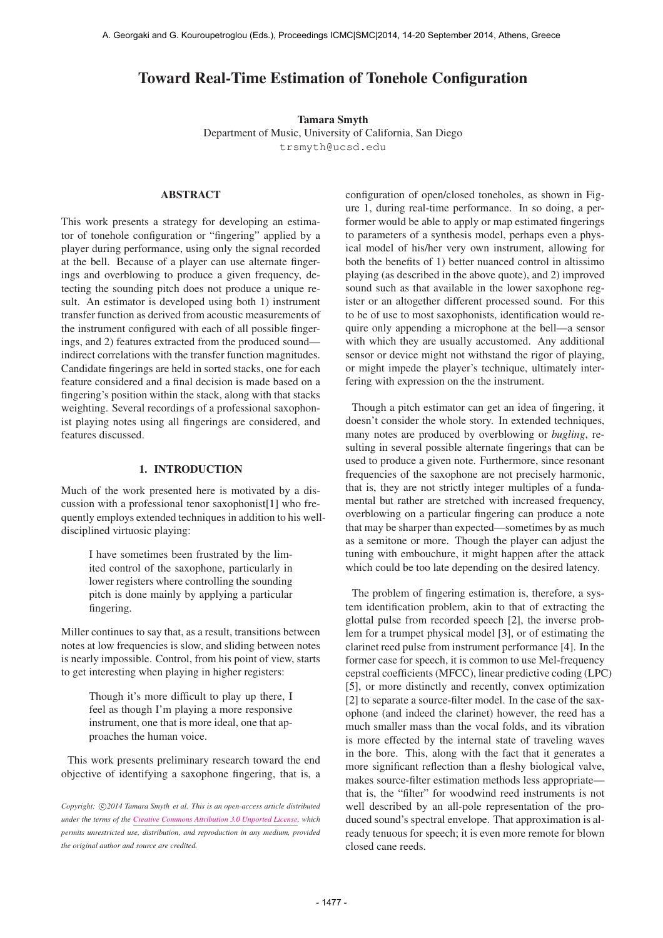# Toward Real-Time Estimation of Tonehole Configuration

Tamara Smyth Department of Music, University of California, San Diego [trsmyth@ucsd.edu](mailto:trsmyth@ucsd.edu)

# ABSTRACT

This work presents a strategy for developing an estimator of tonehole configuration or "fingering" applied by a player during performance, using only the signal recorded at the bell. Because of a player can use alternate fingerings and overblowing to produce a given frequency, detecting the sounding pitch does not produce a unique result. An estimator is developed using both 1) instrument transfer function as derived from acoustic measurements of the instrument configured with each of all possible fingerings, and 2) features extracted from the produced sound indirect correlations with the transfer function magnitudes. Candidate fingerings are held in sorted stacks, one for each feature considered and a final decision is made based on a fingering's position within the stack, along with that stacks weighting. Several recordings of a professional saxophonist playing notes using all fingerings are considered, and features discussed.

# 1. INTRODUCTION

Much of the work presented here is motivated by a discussion with a professional tenor saxophonist[1] who frequently employs extended techniques in addition to his welldisciplined virtuosic playing:

> I have sometimes been frustrated by the limited control of the saxophone, particularly in lower registers where controlling the sounding pitch is done mainly by applying a particular fingering.

Miller continues to say that, as a result, transitions between notes at low frequencies is slow, and sliding between notes is nearly impossible. Control, from his point of view, starts to get interesting when playing in higher registers:

> Though it's more difficult to play up there, I feel as though I'm playing a more responsive instrument, one that is more ideal, one that approaches the human voice.

This work presents preliminary research toward the end objective of identifying a saxophone fingering, that is, a configuration of open/closed toneholes, as shown in Figure 1, during real-time performance. In so doing, a performer would be able to apply or map estimated fingerings to parameters of a synthesis model, perhaps even a physical model of his/her very own instrument, allowing for both the benefits of 1) better nuanced control in altissimo playing (as described in the above quote), and 2) improved sound such as that available in the lower saxophone register or an altogether different processed sound. For this to be of use to most saxophonists, identification would require only appending a microphone at the bell—a sensor with which they are usually accustomed. Any additional sensor or device might not withstand the rigor of playing, or might impede the player's technique, ultimately interfering with expression on the the instrument.

Though a pitch estimator can get an idea of fingering, it doesn't consider the whole story. In extended techniques, many notes are produced by overblowing or *bugling*, resulting in several possible alternate fingerings that can be used to produce a given note. Furthermore, since resonant frequencies of the saxophone are not precisely harmonic, that is, they are not strictly integer multiples of a fundamental but rather are stretched with increased frequency, overblowing on a particular fingering can produce a note that may be sharper than expected—sometimes by as much as a semitone or more. Though the player can adjust the tuning with embouchure, it might happen after the attack which could be too late depending on the desired latency.

The problem of fingering estimation is, therefore, a system identification problem, akin to that of extracting the glottal pulse from recorded speech [2], the inverse problem for a trumpet physical model [3], or of estimating the clarinet reed pulse from instrument performance [4]. In the former case for speech, it is common to use Mel-frequency cepstral coefficients (MFCC), linear predictive coding (LPC) [5], or more distinctly and recently, convex optimization [2] to separate a source-filter model. In the case of the saxophone (and indeed the clarinet) however, the reed has a much smaller mass than the vocal folds, and its vibration is more effected by the internal state of traveling waves in the bore. This, along with the fact that it generates a more significant reflection than a fleshy biological valve, makes source-filter estimation methods less appropriate that is, the "filter" for woodwind reed instruments is not well described by an all-pole representation of the produced sound's spectral envelope. That approximation is already tenuous for speech; it is even more remote for blown closed cane reeds.

Copyright:  $\bigcirc$ 2014 Tamara Smyth et al. This is an open-access article distributed *under the terms of the [Creative Commons Attribution 3.0 Unported License,](http://creativecommons.org/licenses/by/3.0/) which permits unrestricted use, distribution, and reproduction in any medium, provided the original author and source are credited.*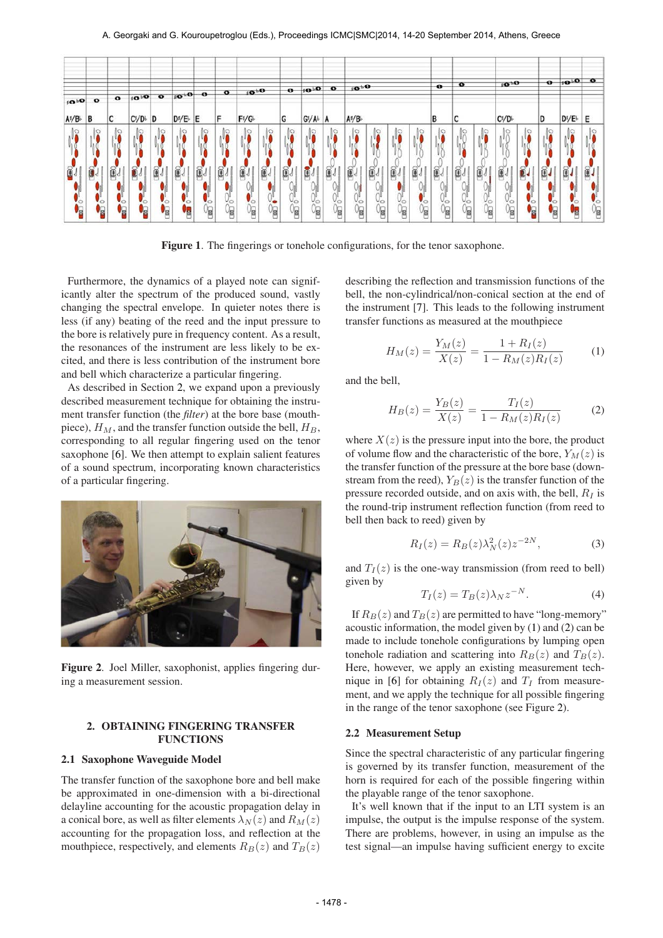

Figure 1. The fingerings or tonehole configurations, for the tenor saxophone.

Furthermore, the dynamics of a played note can significantly alter the spectrum of the produced sound, vastly changing the spectral envelope. In quieter notes there is less (if any) beating of the reed and the input pressure to the bore is relatively pure in frequency content. As a result, the resonances of the instrument are less likely to be excited, and there is less contribution of the instrument bore and bell which characterize a particular fingering.

As described in Section 2, we expand upon a previously described measurement technique for obtaining the instrument transfer function (the *filter*) at the bore base (mouthpiece),  $H_M$ , and the transfer function outside the bell,  $H_B$ , corresponding to all regular fingering used on the tenor saxophone [6]. We then attempt to explain salient features of a sound spectrum, incorporating known characteristics of a particular fingering.



Figure 2. Joel Miller, saxophonist, applies fingering during a measurement session.

# 2. OBTAINING FINGERING TRANSFER FUNCTIONS

### 2.1 Saxophone Waveguide Model

The transfer function of the saxophone bore and bell make be approximated in one-dimension with a bi-directional delayline accounting for the acoustic propagation delay in a conical bore, as well as filter elements  $\lambda_N(z)$  and  $R_M(z)$ accounting for the propagation loss, and reflection at the mouthpiece, respectively, and elements  $R_B(z)$  and  $T_B(z)$ 

describing the reflection and transmission functions of the bell, the non-cylindrical/non-conical section at the end of the instrument [7]. This leads to the following instrument transfer functions as measured at the mouthpiece

$$
H_M(z) = \frac{Y_M(z)}{X(z)} = \frac{1 + R_I(z)}{1 - R_M(z)R_I(z)}\tag{1}
$$

and the bell,

$$
H_B(z) = \frac{Y_B(z)}{X(z)} = \frac{T_I(z)}{1 - R_M(z)R_I(z)}
$$
(2)

where  $X(z)$  is the pressure input into the bore, the product of volume flow and the characteristic of the bore,  $Y_M(z)$  is the transfer function of the pressure at the bore base (downstream from the reed),  $Y_B(z)$  is the transfer function of the pressure recorded outside, and on axis with, the bell,  $R_I$  is the round-trip instrument reflection function (from reed to bell then back to reed) given by

$$
R_I(z) = R_B(z)\lambda_N^2(z)z^{-2N},\tag{3}
$$

and  $T_I(z)$  is the one-way transmission (from reed to bell) given by

$$
T_I(z) = T_B(z)\lambda_N z^{-N}.
$$
 (4)

If  $R_B(z)$  and  $T_B(z)$  are permitted to have "long-memory" acoustic information, the model given by (1) and (2) can be made to include tonehole configurations by lumping open tonehole radiation and scattering into  $R_B(z)$  and  $T_B(z)$ . Here, however, we apply an existing measurement technique in [6] for obtaining  $R_I(z)$  and  $T_I$  from measurement, and we apply the technique for all possible fingering in the range of the tenor saxophone (see Figure 2).

#### 2.2 Measurement Setup

Since the spectral characteristic of any particular fingering is governed by its transfer function, measurement of the horn is required for each of the possible fingering within the playable range of the tenor saxophone.

It's well known that if the input to an LTI system is an impulse, the output is the impulse response of the system. There are problems, however, in using an impulse as the test signal—an impulse having sufficient energy to excite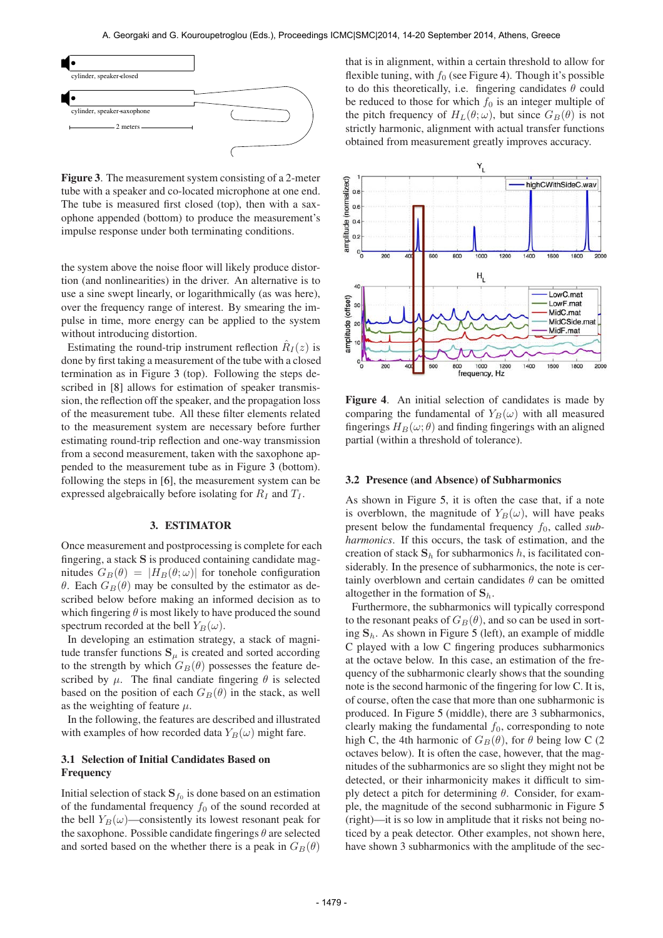

Figure 3. The measurement system consisting of a 2-meter tube with a speaker and co-located microphone at one end. The tube is measured first closed (top), then with a saxophone appended (bottom) to produce the measurement's impulse response under both terminating conditions.

the system above the noise floor will likely produce distortion (and nonlinearities) in the driver. An alternative is to use a sine swept linearly, or logarithmically (as was here), over the frequency range of interest. By smearing the impulse in time, more energy can be applied to the system without introducing distortion.

Estimating the round-trip instrument reflection  $\hat{R}_I(z)$  is done by first taking a measurement of the tube with a closed termination as in Figure 3 (top). Following the steps described in [8] allows for estimation of speaker transmission, the reflection off the speaker, and the propagation loss of the measurement tube. All these filter elements related to the measurement system are necessary before further estimating round-trip reflection and one-way transmission from a second measurement, taken with the saxophone appended to the measurement tube as in Figure 3 (bottom). following the steps in [6], the measurement system can be expressed algebraically before isolating for  $R_I$  and  $T_I$ .

#### 3. ESTIMATOR

Once measurement and postprocessing is complete for each fingering, a stack S is produced containing candidate magnitudes  $G_B(\theta) = |H_B(\theta; \omega)|$  for tonehole configuration θ. Each  $G_B(\theta)$  may be consulted by the estimator as described below before making an informed decision as to which fingering  $\theta$  is most likely to have produced the sound spectrum recorded at the bell  $Y_B(\omega)$ .

In developing an estimation strategy, a stack of magnitude transfer functions  $S_{\mu}$  is created and sorted according to the strength by which  $G_B(\theta)$  possesses the feature described by  $\mu$ . The final candiate fingering  $\theta$  is selected based on the position of each  $G_B(\theta)$  in the stack, as well as the weighting of feature  $\mu$ .

In the following, the features are described and illustrated with examples of how recorded data  $Y_B(\omega)$  might fare.

# 3.1 Selection of Initial Candidates Based on Frequency

Initial selection of stack  $\mathbf{S}_{f_0}$  is done based on an estimation of the fundamental frequency  $f_0$  of the sound recorded at the bell  $Y_B(\omega)$ —consistently its lowest resonant peak for the saxophone. Possible candidate fingerings  $\theta$  are selected and sorted based on the whether there is a peak in  $G_B(\theta)$  that is in alignment, within a certain threshold to allow for flexible tuning, with  $f_0$  (see Figure 4). Though it's possible to do this theoretically, i.e. fingering candidates  $\theta$  could be reduced to those for which  $f_0$  is an integer multiple of the pitch frequency of  $H_L(\theta; \omega)$ , but since  $G_B(\theta)$  is not strictly harmonic, alignment with actual transfer functions obtained from measurement greatly improves accuracy.



Figure 4. An initial selection of candidates is made by comparing the fundamental of  $Y_B(\omega)$  with all measured fingerings  $H_B(\omega; \theta)$  and finding fingerings with an aligned partial (within a threshold of tolerance).

### 3.2 Presence (and Absence) of Subharmonics

As shown in Figure 5, it is often the case that, if a note is overblown, the magnitude of  $Y_B(\omega)$ , will have peaks present below the fundamental frequency  $f_0$ , called *subharmonics*. If this occurs, the task of estimation, and the creation of stack  $S_h$  for subharmonics h, is facilitated considerably. In the presence of subharmonics, the note is certainly overblown and certain candidates  $\theta$  can be omitted altogether in the formation of  $S_h$ .

Furthermore, the subharmonics will typically correspond to the resonant peaks of  $G_B(\theta)$ , and so can be used in sorting  $S_h$ . As shown in Figure 5 (left), an example of middle C played with a low C fingering produces subharmonics at the octave below. In this case, an estimation of the frequency of the subharmonic clearly shows that the sounding note is the second harmonic of the fingering for low C. It is, of course, often the case that more than one subharmonic is produced. In Figure 5 (middle), there are 3 subharmonics, clearly making the fundamental  $f_0$ , corresponding to note high C, the 4th harmonic of  $G_B(\theta)$ , for  $\theta$  being low C (2) octaves below). It is often the case, however, that the magnitudes of the subharmonics are so slight they might not be detected, or their inharmonicity makes it difficult to simply detect a pitch for determining  $\theta$ . Consider, for example, the magnitude of the second subharmonic in Figure 5 (right)—it is so low in amplitude that it risks not being noticed by a peak detector. Other examples, not shown here, have shown 3 subharmonics with the amplitude of the sec-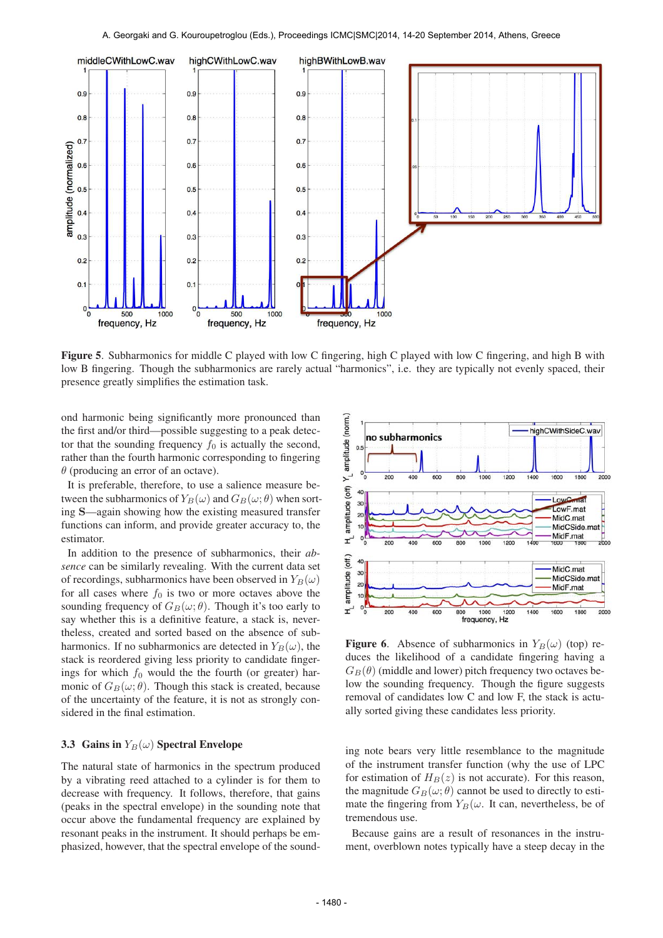

Figure 5. Subharmonics for middle C played with low C fingering, high C played with low C fingering, and high B with low B fingering. Though the subharmonics are rarely actual "harmonics", i.e. they are typically not evenly spaced, their presence greatly simplifies the estimation task.

ond harmonic being significantly more pronounced than the first and/or third—possible suggesting to a peak detector that the sounding frequency  $f_0$  is actually the second, rather than the fourth harmonic corresponding to fingering  $\theta$  (producing an error of an octave).

It is preferable, therefore, to use a salience measure between the subharmonics of  $Y_B(\omega)$  and  $G_B(\omega; \theta)$  when sorting S—again showing how the existing measured transfer functions can inform, and provide greater accuracy to, the estimator.

In addition to the presence of subharmonics, their *absence* can be similarly revealing. With the current data set of recordings, subharmonics have been observed in  $Y_B(\omega)$ for all cases where  $f_0$  is two or more octaves above the sounding frequency of  $G_B(\omega; \theta)$ . Though it's too early to say whether this is a definitive feature, a stack is, nevertheless, created and sorted based on the absence of subharmonics. If no subharmonics are detected in  $Y_B(\omega)$ , the stack is reordered giving less priority to candidate fingerings for which  $f_0$  would the the fourth (or greater) harmonic of  $G_B(\omega; \theta)$ . Though this stack is created, because of the uncertainty of the feature, it is not as strongly considered in the final estimation.

### 3.3 Gains in  $Y_B(\omega)$  Spectral Envelope

The natural state of harmonics in the spectrum produced by a vibrating reed attached to a cylinder is for them to decrease with frequency. It follows, therefore, that gains (peaks in the spectral envelope) in the sounding note that occur above the fundamental frequency are explained by resonant peaks in the instrument. It should perhaps be emphasized, however, that the spectral envelope of the sound-



**Figure 6.** Absence of subharmonics in  $Y_B(\omega)$  (top) reduces the likelihood of a candidate fingering having a  $G_B(\theta)$  (middle and lower) pitch frequency two octaves below the sounding frequency. Though the figure suggests removal of candidates low C and low F, the stack is actually sorted giving these candidates less priority.

ing note bears very little resemblance to the magnitude of the instrument transfer function (why the use of LPC for estimation of  $H_B(z)$  is not accurate). For this reason, the magnitude  $G_B(\omega; \theta)$  cannot be used to directly to estimate the fingering from  $Y_B(\omega)$ . It can, nevertheless, be of tremendous use.

Because gains are a result of resonances in the instrument, overblown notes typically have a steep decay in the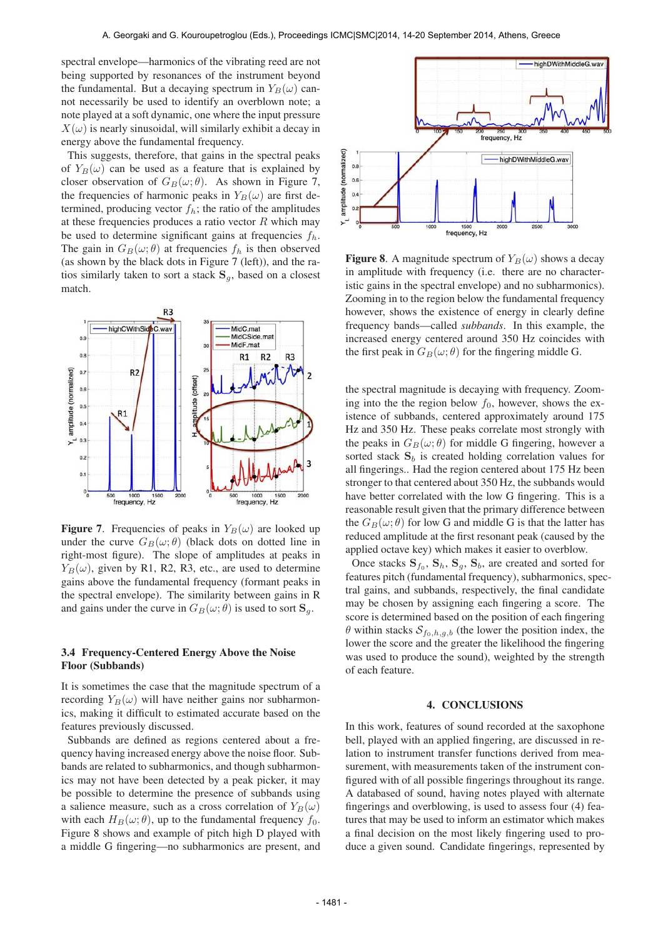spectral envelope—harmonics of the vibrating reed are not being supported by resonances of the instrument beyond the fundamental. But a decaying spectrum in  $Y_B(\omega)$  cannot necessarily be used to identify an overblown note; a note played at a soft dynamic, one where the input pressure  $X(\omega)$  is nearly sinusoidal, will similarly exhibit a decay in energy above the fundamental frequency.

This suggests, therefore, that gains in the spectral peaks of  $Y_B(\omega)$  can be used as a feature that is explained by closer observation of  $G_B(\omega; \theta)$ . As shown in Figure 7, the frequencies of harmonic peaks in  $Y_B(\omega)$  are first determined, producing vector  $f_h$ ; the ratio of the amplitudes at these frequencies produces a ratio vector  $R$  which may be used to determine significant gains at frequencies  $f_h$ . The gain in  $G_B(\omega; \theta)$  at frequencies  $f_h$  is then observed (as shown by the black dots in Figure 7 (left)), and the ratios similarly taken to sort a stack  $S_q$ , based on a closest match.



**Figure 7.** Frequencies of peaks in  $Y_B(\omega)$  are looked up under the curve  $G_B(\omega; \theta)$  (black dots on dotted line in right-most figure). The slope of amplitudes at peaks in  $Y_B(\omega)$ , given by R1, R2, R3, etc., are used to determine gains above the fundamental frequency (formant peaks in the spectral envelope). The similarity between gains in R and gains under the curve in  $G_B(\omega; \theta)$  is used to sort  $\mathbf{S}_q$ .

# 3.4 Frequency-Centered Energy Above the Noise Floor (Subbands)

It is sometimes the case that the magnitude spectrum of a recording  $Y_B(\omega)$  will have neither gains nor subharmonics, making it difficult to estimated accurate based on the features previously discussed.

Subbands are defined as regions centered about a frequency having increased energy above the noise floor. Subbands are related to subharmonics, and though subharmonics may not have been detected by a peak picker, it may be possible to determine the presence of subbands using a salience measure, such as a cross correlation of  $Y_B(\omega)$ with each  $H_B(\omega; \theta)$ , up to the fundamental frequency  $f_0$ . Figure 8 shows and example of pitch high D played with a middle G fingering—no subharmonics are present, and



**Figure 8.** A magnitude spectrum of  $Y_B(\omega)$  shows a decay in amplitude with frequency (i.e. there are no characteristic gains in the spectral envelope) and no subharmonics). Zooming in to the region below the fundamental frequency however, shows the existence of energy in clearly define frequency bands—called *subbands*. In this example, the increased energy centered around 350 Hz coincides with the first peak in  $G_B(\omega; \theta)$  for the fingering middle G.

the spectral magnitude is decaying with frequency. Zooming into the the region below  $f_0$ , however, shows the existence of subbands, centered approximately around 175 Hz and 350 Hz. These peaks correlate most strongly with the peaks in  $G_B(\omega; \theta)$  for middle G fingering, however a sorted stack  $S_b$  is created holding correlation values for all fingerings.. Had the region centered about 175 Hz been stronger to that centered about 350 Hz, the subbands would have better correlated with the low G fingering. This is a reasonable result given that the primary difference between the  $G_B(\omega; \theta)$  for low G and middle G is that the latter has reduced amplitude at the first resonant peak (caused by the applied octave key) which makes it easier to overblow.

Once stacks  $S_{f_0}$ ,  $S_h$ ,  $S_g$ ,  $S_b$ , are created and sorted for features pitch (fundamental frequency), subharmonics, spectral gains, and subbands, respectively, the final candidate may be chosen by assigning each fingering a score. The score is determined based on the position of each fingering  $\theta$  within stacks  $S_{f_0,h,g,b}$  (the lower the position index, the lower the score and the greater the likelihood the fingering was used to produce the sound), weighted by the strength of each feature.

#### 4. CONCLUSIONS

In this work, features of sound recorded at the saxophone bell, played with an applied fingering, are discussed in relation to instrument transfer functions derived from measurement, with measurements taken of the instrument configured with of all possible fingerings throughout its range. A databased of sound, having notes played with alternate fingerings and overblowing, is used to assess four (4) features that may be used to inform an estimator which makes a final decision on the most likely fingering used to produce a given sound. Candidate fingerings, represented by